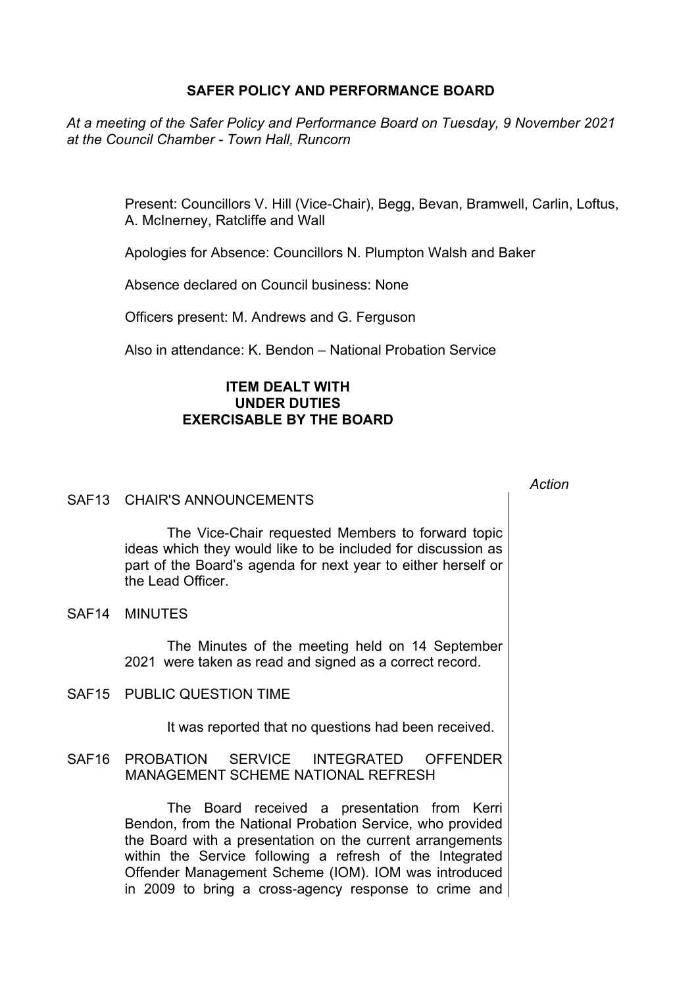## **SAFER POLICY AND PERFORMANCE BOARD**

*At a meeting of the Safer Policy and Performance Board on Tuesday, 9 November 2021 at the Council Chamber - Town Hall, Runcorn*

> Present: Councillors V. Hill (Vice-Chair), Begg, Bevan, Bramwell, Carlin, Loftus, A. McInerney, Ratcliffe and Wall

Apologies for Absence: Councillors N. Plumpton Walsh and Baker

Absence declared on Council business: None

Officers present: M. Andrews and G. Ferguson

Also in attendance: K. Bendon – National Probation Service

## **ITEM DEALT WITH UNDER DUTIES EXERCISABLE BY THE BOARD**

## SAF13 CHAIR'S ANNOUNCEMENTS

The Vice-Chair requested Members to forward topic ideas which they would like to be included for discussion as part of the Board's agenda for next year to either herself or the Lead Officer.

SAF14 MINUTES

The Minutes of the meeting held on 14 September 2021 were taken as read and signed as a correct record.

SAF15 PUBLIC QUESTION TIME

It was reported that no questions had been received.

SAF16 PROBATION SERVICE INTEGRATED OFFENDER MANAGEMENT SCHEME NATIONAL REFRESH

> The Board received a presentation from Kerri Bendon, from the National Probation Service, who provided the Board with a presentation on the current arrangements within the Service following a refresh of the Integrated Offender Management Scheme (IOM). IOM was introduced in 2009 to bring a cross-agency response to crime and

*Action*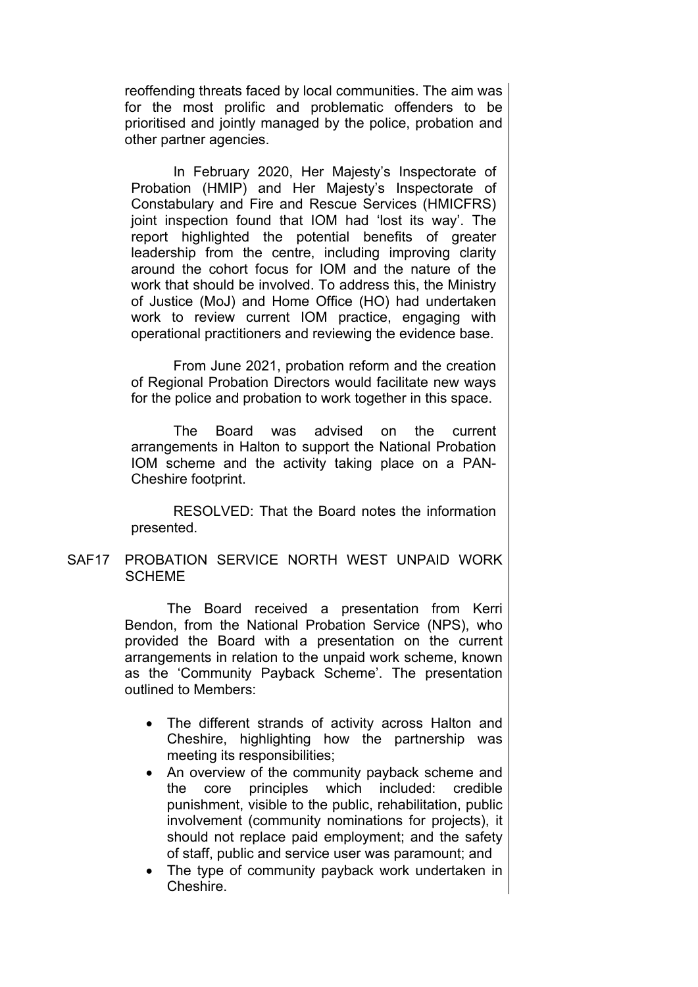reoffending threats faced by local communities. The aim was for the most prolific and problematic offenders to be prioritised and jointly managed by the police, probation and other partner agencies.

In February 2020, Her Majesty's Inspectorate of Probation (HMIP) and Her Majesty's Inspectorate of Constabulary and Fire and Rescue Services (HMICFRS) joint inspection found that IOM had 'lost its way'. The report highlighted the potential benefits of greater leadership from the centre, including improving clarity around the cohort focus for IOM and the nature of the work that should be involved. To address this, the Ministry of Justice (MoJ) and Home Office (HO) had undertaken work to review current IOM practice, engaging with operational practitioners and reviewing the evidence base.

From June 2021, probation reform and the creation of Regional Probation Directors would facilitate new ways for the police and probation to work together in this space.

The Board was advised on the current arrangements in Halton to support the National Probation IOM scheme and the activity taking place on a PAN-Cheshire footprint.

RESOLVED: That the Board notes the information presented.

SAF17 PROBATION SERVICE NORTH WEST UNPAID WORK **SCHEME** 

> The Board received a presentation from Kerri Bendon, from the National Probation Service (NPS), who provided the Board with a presentation on the current arrangements in relation to the unpaid work scheme, known as the 'Community Payback Scheme'. The presentation outlined to Members:

- The different strands of activity across Halton and Cheshire, highlighting how the partnership was meeting its responsibilities;
- An overview of the community payback scheme and the core principles which included: credible punishment, visible to the public, rehabilitation, public involvement (community nominations for projects), it should not replace paid employment; and the safety of staff, public and service user was paramount; and
- The type of community payback work undertaken in Cheshire.